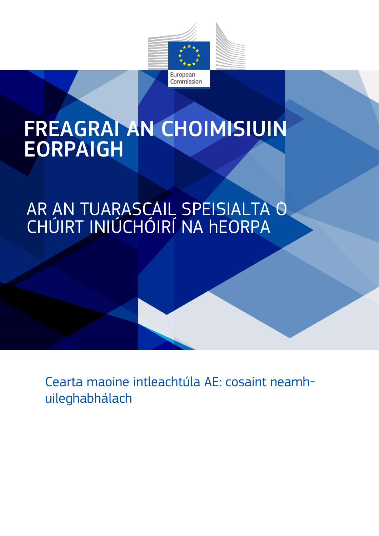

# FREAGRAÍ AN CHOIMISIÚIN EORPAIGH

### AR AN TUARASCÁIL SPEISIALTA Ó CHÚIRT INIÚCHÓIRÍ NA hEORPA

Cearta maoine intleachtúla AE: cosaint neamhuileghabhálach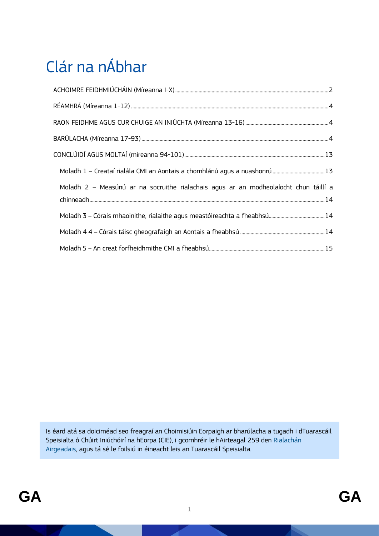## Clár na nÁbhar

| Moladh 2 - Measúnú ar na socruithe rialachais agus ar an modheolaíocht chun táillí a |  |
|--------------------------------------------------------------------------------------|--|
|                                                                                      |  |
|                                                                                      |  |
|                                                                                      |  |

Is éard atá sa doiciméad seo freagraí an Choimisiúin Eorpaigh ar bharúlacha a tugadh i dTuarascáil Speisialta ó Chúirt Iniúchóirí na hEorpa (CIE), i gcomhréir le hAirteagal 259 den [Rialachán](https://op.europa.eu/en/publication-detail/-/publication/e9488da5-d66f-11e8-9424-01aa75ed71a1/language-en/format-PDF/source-86606884)  [Airgeadais,](https://op.europa.eu/en/publication-detail/-/publication/e9488da5-d66f-11e8-9424-01aa75ed71a1/language-en/format-PDF/source-86606884) agus tá sé le foilsiú in éineacht leis an Tuarascáil Speisialta.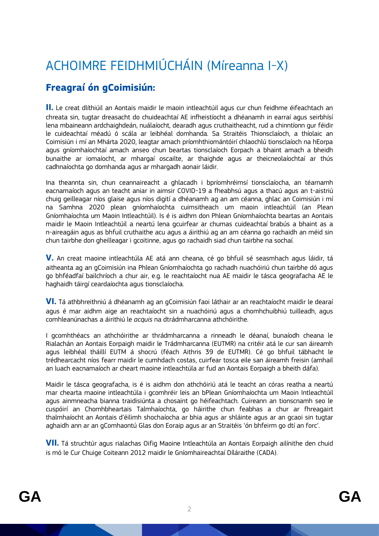### <span id="page-2-0"></span>ACHOIMRE FEIDHMIÚCHÁIN (Míreanna I-X)

#### **Freagraí ón gCoimisiún:**

**II.** Le creat dlíthiúil an Aontais maidir le maoin intleachtúil agus cur chun feidhme éifeachtach an chreata sin, tugtar dreasacht do chuideachtaí AE infheistíocht a dhéanamh in earraí agus seirbhísí lena mbaineann ardchaighdeán, nuálaíocht, dearadh agus cruthaitheacht, rud a chinntíonn gur féidir le cuideachtaí méadú ó scála ar leibhéal domhanda. Sa Straitéis Thionsclaíoch, a thíolaic an Coimisiún i mí an Mhárta 2020, leagtar amach príomhthiomántóirí chlaochlú tionsclaíoch na hEorpa agus gníomhaíochtaí amach anseo chun beartas tionsclaíoch Eorpach a bhaint amach a bheidh bunaithe ar iomaíocht, ar mhargaí oscailte, ar thaighde agus ar theicneolaíochtaí ar thús cadhnaíochta go domhanda agus ar mhargadh aonair láidir.

Ina theannta sin, chun ceannaireacht a ghlacadh i bpríomhréimsí tionsclaíocha, an téarnamh eacnamaíoch agus an teacht aniar in aimsir COVID-19 a fheabhsú agus a thacú agus an t-aistriú chuig geilleagar níos glaise agus níos digití a dhéanamh ag an am céanna, ghlac an Coimisiún i mí na Samhna 2020 plean gníomhaíochta cuimsitheach um maoin intleachtúil (an Plean Gníomhaíochta um Maoin Intleachtúil). Is é is aidhm don Phlean Gníomhaíochta beartas an Aontais maidir le Maoin Intleachtúil a neartú lena gcuirfear ar chumas cuideachtaí brabús a bhaint as a n-aireagáin agus as bhfuil cruthaithe acu agus a áirithiú ag an am céanna go rachaidh an méid sin chun tairbhe don gheilleagar i gcoitinne, agus go rachaidh siad chun tairbhe na sochaí.

**V.** An creat maoine intleachtúla AE atá ann cheana, cé go bhfuil sé seasmhach agus láidir, tá aitheanta ag an gCoimisiún ina Phlean Gníomhaíochta go rachadh nuachóiriú chun tairbhe dó agus go bhféadfaí bailchríoch a chur air, e.g. le reachtaíocht nua AE maidir le tásca geografacha AE le haghaidh táirgí ceardaíochta agus tionsclaíocha.

**VI.** Tá athbhreithniú á dhéanamh ag an gCoimisiún faoi láthair ar an reachtaíocht maidir le dearaí agus é mar aidhm aige an reachtaíocht sin a nuachóiriú agus a chomhchuibhiú tuilleadh, agus comhleanúnachas a áirithiú le *acquis* na dtrádmharcanna athchóirithe.

I gcomhthéacs an athchóirithe ar thrádmharcanna a rinneadh le déanaí, bunaíodh cheana le Rialachán an Aontais Eorpaigh maidir le Trádmharcanna (EUTMR) na critéir atá le cur san áireamh agus leibhéal tháillí EUTM á shocrú (féach Aithris 39 de EUTMR). Cé go bhfuil tábhacht le trédhearcacht níos fearr maidir le cumhdach costas, cuirfear tosca eile san áireamh freisin (amhail an luach eacnamaíoch ar cheart maoine intleachtúla ar fud an Aontais Eorpaigh a bheith dáfa).

Maidir le tásca geografacha, is é is aidhm don athchóiriú atá le teacht an córas reatha a neartú mar chearta maoine intleachtúla i gcomhréir leis an bPlean [Gníomhaíochta um Maoin Intleachtúil](https://ec.europa.eu/info/law/better-regulation/have-your-say/initiatives/12510-Intellectual-Property-Action-Plan) agus ainmneacha bianna traidisiúnta a chosaint go héifeachtach. Cuireann an tionscnamh seo le cuspóirí an Chomhbheartais Talmhaíochta, go háirithe chun feabhas a chur ar fhreagairt thalmhaíocht an Aontais d'éilimh shochaíocha ar bhia agus ar shláinte agus ar an gcaoi sin tugtar aghaidh ann ar an [gComhaontú Glas don Eoraip](https://ec.europa.eu/info/strategy/priorities-2019-2024/european-green-deal_en) agus ar an [Straitéis 'ón bhfeirm go dtí an forc'](https://ec.europa.eu/info/strategy/priorities-2019-2024/european-green-deal/actions-being-taken-eu/farm-fork_en).

**VII.** Tá struchtúr agus rialachas Oifig Maoine Intleachtúla an Aontais Eorpaigh ailínithe den chuid is mó le Cur Chuige Coiteann 2012 maidir le Gníomhaireachtaí Díláraithe (CADA).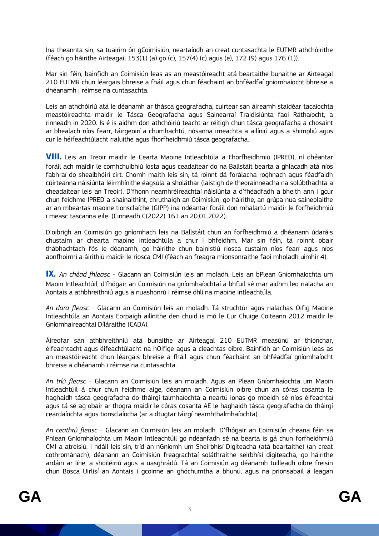Ina theannta sin, sa tuairim ón gCoimisiún, neartaíodh an creat cuntasachta le EUTMR athchóirithe (féach go háirithe Airteagail 153(1) (a) go (c), 157(4) (c) agus (e), 172 (9) agus 176 (1)).

Mar sin féin, bainfidh an Coimisiún leas as an meastóireacht atá beartaithe bunaithe ar Airteagal 210 EUTMR chun léargais bhreise a fháil agus chun féachaint an bhféadfaí gníomhaíocht bhreise a dhéanamh i réimse na cuntasachta.

Leis an athchóiriú atá le déanamh ar thásca geografacha, cuirtear san áireamh staidéar [tacaíochta](https://ec.europa.eu/info/food-farming-fisheries/key-policies/common-agricultural-policy/cmef/products-and-markets/gis-and-tsg-protected-eu_en)  [meastóireachta](https://ec.europa.eu/info/food-farming-fisheries/key-policies/common-agricultural-policy/cmef/products-and-markets/gis-and-tsg-protected-eu_en) maidir le Tásca Geografacha agus Sainearraí Traidisiúnta faoi Ráthaíocht, a rinneadh in 2020. Is é is aidhm don athchóiriú teacht ar réitigh chun tásca geografacha a chosaint ar bhealach níos fearr, táirgeoirí a chumhachtú, nósanna imeachta a ailíniú agus a shimpliú agus cur le héifeachtúlacht rialuithe agus fhorfheidhmiú tásca geografacha.

**VIII.** Leis an Treoir maidir le Cearta Maoine Intleachtúla a Fhorfheidhmiú (IPRED), ní dhéantar foráil ach maidir le comhchuibhiú íosta agus ceadaítear do na Ballstáit bearta a ghlacadh atá níos fabhraí do shealbhóirí cirt. Chomh maith leis sin, tá roinnt dá forálacha roghnach agus féadfaidh cúirteanna náisiúnta léirmhínithe éagsúla a sholáthar (laistigh de theorainneacha na solúbthachta a cheadaítear leis an Treoir). D'fhonn neamhréireachtaí náisiúnta a d'fhéadfadh a bheith ann i gcur chun feidhme IPRED a shainaithint, chruthaigh an Coimisiún, go háirithe, an grúpa nua saineolaithe ar an mbeartas maoine tionsclaíche (GIPP) ina ndéantar foráil don mhalartú maidir le forfheidhmiú i measc tascanna eile (Cinneadh C(2022) 161 an 20.01.2022).

D'oibrigh an Coimisiún go gníomhach leis na Ballstáit chun an forfheidhmiú a dhéanann údaráis chustaim ar chearta maoine intleachtúla a chur i bhfeidhm. Mar sin féin, tá roinnt obair thábhachtach fós le déanamh, go háirithe chun bainistiú riosca custaim níos fearr agus níos aonfhoirmí a áirithiú maidir le riosca CMI (féach an freagra mionsonraithe faoi mholadh uimhir 4).

**IX.** *An chéad fhleasc* - Glacann an Coimisiún leis an moladh. Leis an bPlean Gníomhaíochta um Maoin Intleachtúil, d'fhógair an Coimisiún na gníomhaíochtaí a bhfuil sé mar aidhm leo rialacha an Aontais a athbhreithniú agus a nuashonrú i réimse dhlí na maoine intleachtúla.

*An dara fleasc* - Glacann an Coimisiún leis an moladh. Tá struchtúr agus rialachas Oifig Maoine Intleachtúla an Aontais Eorpaigh ailínithe den chuid is mó le Cur Chuige Coiteann 2012 maidir le Gníomhaireachtaí Díláraithe (CADA).

Áireofar san athbhreithniú atá bunaithe ar Airteagal 210 EUTMR measúnú ar thionchar, éifeachtacht agus éifeachtúlacht na hOifige agus a cleachtas oibre. Bainfidh an Coimisiún leas as an meastóireacht chun léargais bhreise a fháil agus chun féachaint an bhféadfaí gníomhaíocht bhreise a dhéanamh i réimse na cuntasachta.

*An tríú fleasc* - Glacann an Coimisiún leis an moladh. Agus an Plean Gníomhaíochta um Maoin Intleachtúil á chur chun feidhme aige, déanann an Coimisiún oibre chun an córas cosanta le haghaidh tásca geografacha do tháirgí talmhaíochta a neartú ionas go mbeidh sé níos éifeachtaí agus tá sé ag obair ar thogra maidir le córas cosanta AE le haghaidh tásca geografacha do tháirgí ceardaíochta agus tionsclaíocha (ar a dtugtar táirgí neamhthalmhaíochta).

*An ceathrú fleasc* - Glacann an Coimisiún leis an moladh. D'fhógair an Coimisiún cheana féin sa Phlean Gníomhaíochta um Maoin Intleachtúil go ndéanfadh sé na bearta is gá chun forfheidhmiú CMI a atreisiú. I ndáil leis sin, tríd an nGníomh um Sheirbhísí Digiteacha (atá beartaithe) (an creat cothrománach), déanann an Coimisiún freagrachtaí soláthraithe seirbhísí digiteacha, go háirithe ardáin ar líne, a shoiléiriú agus a uasghrádú. Tá an Coimisiún ag déanamh tuilleadh oibre freisin chun Bosca Uirlisí an Aontais i gcoinne an ghóchumtha a bhunú, agus na prionsabail á leagan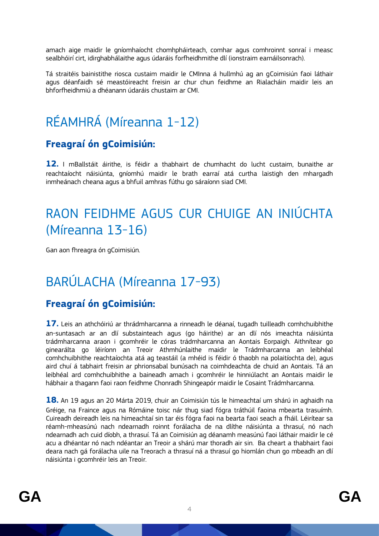amach aige maidir le gníomhaíocht chomhpháirteach, comhar agus comhroinnt sonraí i measc sealbhóirí cirt, idirghabhálaithe agus údaráis forfheidhmithe dlí (ionstraim earnáilsonrach).

Tá straitéis bainistithe riosca custaim maidir le CMInna á hullmhú ag an gCoimisiún faoi láthair agus déanfaidh sé meastóireacht freisin ar chur chun feidhme an Rialacháin maidir leis an bhforfheidhmiú a dhéanann údaráis chustaim ar CMI.

### <span id="page-4-0"></span>RÉAMHRÁ (Míreanna 1-12)

#### **Freagraí ón gCoimisiún:**

**12.** I mBallstáit áirithe, is féidir a thabhairt de chumhacht do lucht custaim, bunaithe ar reachtaíocht náisiúnta, gníomhú maidir le brath earraí atá curtha laistigh den mhargadh inmheánach cheana agus a bhfuil amhras fúthu go sáraíonn siad CMI.

### <span id="page-4-1"></span>RAON FEIDHME AGUS CUR CHUIGE AN INIÚCHTA (Míreanna 13-16)

Gan aon fhreagra ón gCoimisiún.

### <span id="page-4-2"></span>BARÚLACHA (Míreanna 17-93)

#### **Freagraí ón gCoimisiún:**

**17.** Leis an athchóiriú ar thrádmharcanna a rinneadh le déanaí, tugadh tuilleadh comhchuibhithe an-suntasach ar an dlí substainteach agus (go háirithe) ar an dlí nós imeachta náisiúnta trádmharcanna araon i gcomhréir le córas trádmharcanna an Aontais Eorpaigh. Aithnítear go ginearálta go léiríonn an Treoir Athmhúnlaithe maidir le Trádmharcanna an leibhéal comhchuibhithe reachtaíochta atá ag teastáil (a mhéid is féidir ó thaobh na polaitíochta de), agus aird chuí á tabhairt freisin ar phrionsabal bunúsach na coimhdeachta de chuid an Aontais. Tá an leibhéal ard comhchuibhithe a baineadh amach i gcomhréir le hinniúlacht an Aontais maidir le hábhair a thagann faoi raon feidhme Chonradh Shingeapór maidir le Cosaint Trádmharcanna.

**18.** An 19 agus an 20 Márta 2019, chuir an Coimisiún tús le himeachtaí um shárú in aghaidh na Gréige, na Fraince agus na Rómáine toisc nár thug siad fógra tráthúil faoina mbearta trasuímh. Cuireadh deireadh leis na himeachtaí sin tar éis fógra faoi na bearta faoi seach a fháil. Léirítear sa réamh-mheasúnú nach ndearnadh roinnt forálacha de na dlíthe náisiúnta a thrasuí, nó nach ndearnadh ach cuid díobh, a thrasuí. Tá an Coimisiún ag déanamh measúnú faoi láthair maidir le cé acu a dhéantar nó nach ndéantar an Treoir a shárú mar thoradh air sin. Ba cheart a thabhairt faoi deara nach gá forálacha uile na Treorach a thrasuí ná a thrasuí go hiomlán chun go mbeadh an dlí náisiúnta i gcomhréir leis an Treoir.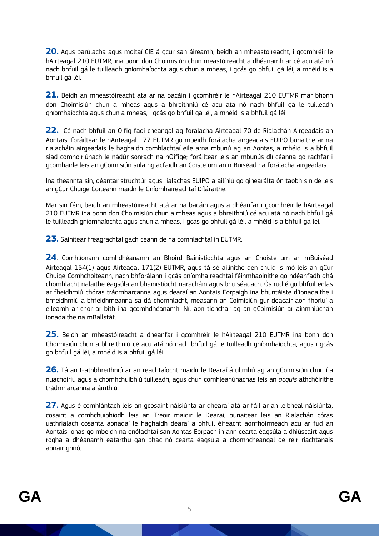**20.** Agus barúlacha agus moltaí CIE á gcur san áireamh, beidh an mheastóireacht, i gcomhréir le hAirteagal 210 EUTMR, ina bonn don Choimisiún chun meastóireacht a dhéanamh ar cé acu atá nó nach bhfuil gá le tuilleadh gníomhaíochta agus chun a mheas, i gcás go bhfuil gá léi, a mhéid is a bhfuil gá léi.

**21.** Beidh an mheastóireacht atá ar na bacáin i gcomhréir le hAirteagal 210 EUTMR mar bhonn don Choimisiún chun a mheas agus a bhreithniú cé acu atá nó nach bhfuil gá le tuilleadh gníomhaíochta agus chun a mheas, i gcás go bhfuil gá léi, a mhéid is a bhfuil gá léi.

**22.** Cé nach bhfuil an Oifig faoi cheangal ag forálacha Airteagal 70 de Rialachán Airgeadais an Aontais, foráiltear le hAirteagal 177 EUTMR go mbeidh forálacha airgeadais EUIPO bunaithe ar na rialacháin airgeadais le haghaidh comhlachtaí eile arna mbunú ag an Aontas, a mhéid is a bhfuil siad comhoiriúnach le nádúr sonrach na hOifige; foráiltear leis an mbunús dlí céanna go rachfar i gcomhairle leis an gCoimisiún sula nglacfaidh an Coiste um an mBuiséad na forálacha airgeadais.

Ina theannta sin, déantar struchtúr agus rialachas EUIPO a ailíniú go ginearálta ón taobh sin de leis an gCur Chuige Coiteann maidir le Gníomhaireachtaí Díláraithe.

Mar sin féin, beidh an mheastóireacht atá ar na bacáin agus a dhéanfar i gcomhréir le hAirteagal 210 EUTMR ina bonn don Choimisiún chun a mheas agus a bhreithniú cé acu atá nó nach bhfuil gá le tuilleadh gníomhaíochta agus chun a mheas, i gcás go bhfuil gá léi, a mhéid is a bhfuil gá léi.

**23.** Sainítear freagrachtaí gach ceann de na comhlachtaí in EUTMR.

**24**. Comhlíonann comhdhéanamh an Bhoird Bainistíochta agus an Choiste um an mBuiséad Airteagal 154(1) agus Airteagal 171(2) EUTMR, agus tá sé ailínithe den chuid is mó leis an gCur Chuige Comhchoiteann, nach bhforálann i gcás gníomhaireachtaí féinmhaoinithe go ndéanfadh dhá chomhlacht rialaithe éagsúla an bhainistíocht riaracháin agus bhuiséadach. Ós rud é go bhfuil eolas ar fheidhmiú chóras trádmharcanna agus dearaí an Aontais Eorpaigh ina bhuntáiste d'ionadaithe i bhfeidhmiú a bhfeidhmeanna sa dá chomhlacht, measann an Coimisiún gur deacair aon fhorluí a éileamh ar chor ar bith ina gcomhdhéanamh. Níl aon tionchar ag an gCoimisiún ar ainmniúchán ionadaithe na mBallstát.

**25.** Beidh an mheastóireacht a dhéanfar i gcomhréir le hAirteagal 210 EUTMR ina bonn don Choimisiún chun a bhreithniú cé acu atá nó nach bhfuil gá le tuilleadh gníomhaíochta, agus i gcás go bhfuil gá léi, a mhéid is a bhfuil gá léi.

**26.** Tá an t-athbhreithniú ar an reachtaíocht maidir le Dearaí á ullmhú ag an gCoimisiún chun í a nuachóiriú agus a chomhchuibhiú tuilleadh, agus chun comhleanúnachas leis an *acquis* athchóirithe trádmharcanna a áirithiú.

**27.** Agus é comhlántach leis an gcosaint náisiúnta ar dhearaí atá ar fáil ar an leibhéal náisiúnta, cosaint a comhchuibhíodh leis an Treoir maidir le Dearaí, bunaítear leis an Rialachán córas uathrialach cosanta aonadaí le haghaidh dearaí a bhfuil éifeacht aonfhoirmeach acu ar fud an Aontais ionas go mbeidh na gnólachtaí san Aontas Eorpach in ann cearta éagsúla a dhiúscairt agus rogha a dhéanamh eatarthu gan bhac nó cearta éagsúla a chomhcheangal de réir riachtanais aonair ghnó.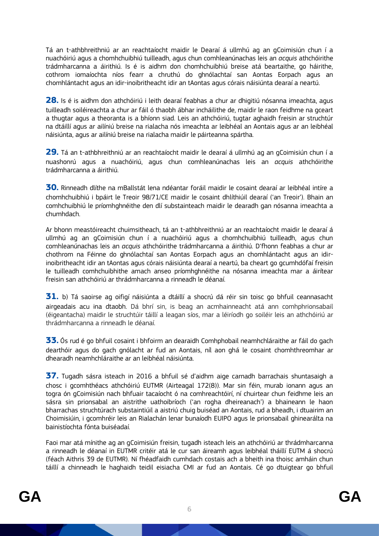Tá an t-athbhreithniú ar an reachtaíocht maidir le Dearaí á ullmhú ag an gCoimisiún chun í a nuachóiriú agus a chomhchuibhiú tuilleadh, agus chun comhleanúnachas leis an *acquis* athchóirithe trádmharcanna a áirithiú. Is é is aidhm don chomhchuibhiú breise atá beartaithe, go háirithe, cothrom iomaíochta níos fearr a chruthú do ghnólachtaí san Aontas Eorpach agus an chomhlántacht agus an idir-inoibritheacht idir an tAontas agus córais náisiúnta dearaí a neartú.

**28.** Is é is aidhm don athchóiriú i leith dearaí feabhas a chur ar dhigitiú nósanna imeachta, agus tuilleadh soiléireachta a chur ar fáil ó thaobh ábhar incháilithe de, maidir le raon feidhme na gceart a thugtar agus a theoranta is a bhíonn siad. Leis an athchóiriú, tugtar aghaidh freisin ar struchtúr na dtáillí agus ar ailíniú breise na rialacha nós imeachta ar leibhéal an Aontais agus ar an leibhéal náisiúnta, agus ar ailíniú breise na rialacha maidir le páirteanna spártha.

**29.** Tá an t-athbhreithniú ar an reachtaíocht maidir le dearaí á ullmhú ag an gCoimisiún chun í a nuashonrú agus a nuachóiriú, agus chun comhleanúnachas leis an *acquis* athchóirithe trádmharcanna a áirithiú.

**30.** Rinneadh dlíthe na mBallstát lena ndéantar foráil maidir le cosaint dearaí ar leibhéal intíre a chomhchuibhiú i bpáirt le Treoir 98/71/CE maidir le cosaint dhlíthiúil dearaí ('an Treoir'). Bhain an comhchuibhiú le príomhghnéithe den dlí substainteach maidir le dearadh gan nósanna imeachta a chumhdach.

Ar bhonn meastóireacht chuimsitheach, tá an t-athbhreithniú ar an reachtaíocht maidir le dearaí á ullmhú ag an gCoimisiún chun í a nuachóiriú agus a chomhchuibhiú tuilleadh, agus chun comhleanúnachas leis an *acquis* athchóirithe trádmharcanna a áirithiú. D'fhonn feabhas a chur ar chothrom na Féinne do ghnólachtaí san Aontas Eorpach agus an chomhlántacht agus an idirinoibritheacht idir an tAontas agus córais náisiúnta dearaí a neartú, ba cheart go gcumhdófaí freisin le tuilleadh comhchuibhithe amach anseo príomhghnéithe na nósanna imeachta mar a áirítear freisin san athchóiriú ar thrádmharcanna a rinneadh le déanaí.

**31.** b) Tá saoirse ag oifigí náisiúnta a dtáillí a shocrú dá réir sin toisc go bhfuil ceannasacht airgeadais acu ina dtaobh. Dá bhrí sin, is beag an acmhainneacht atá ann comhphrionsabail (éigeantacha) maidir le struchtúir táillí a leagan síos, mar a léiríodh go soiléir leis an athchóiriú ar thrádmharcanna a rinneadh le déanaí.

**33.** Ós rud é go bhfuil cosaint i bhfoirm an dearaidh Comhphobail neamhchláraithe ar fáil do gach dearthóir agus do gach gnólacht ar fud an Aontais, níl aon ghá le cosaint chomhthreomhar ar dhearadh neamhchláraithe ar an leibhéal náisiúnta.

**37.** Tugadh sásra isteach in 2016 a bhfuil sé d'aidhm aige carnadh barrachais shuntasaigh a chosc i gcomhthéacs athchóiriú EUTMR (Airteagal 172(8)). Mar sin féin, murab ionann agus an togra ón gCoimisiún nach bhfuair tacaíocht ó na comhreachtóirí, ní chuirtear chun feidhme leis an sásra sin prionsabal an aistrithe uathoibríoch ('an rogha dheireanach') a bhaineann le haon bharrachas struchtúrach substaintiúil a aistriú chuig buiséad an Aontais, rud a bheadh, i dtuairim an Choimisiúin, i gcomhréir leis an Rialachán lenar bunaíodh EUIPO agus le prionsabail ghinearálta na bainistíochta fónta buiséadaí.

Faoi mar atá mínithe ag an gCoimisiún freisin, tugadh isteach leis an athchóiriú ar thrádmharcanna a rinneadh le déanaí in EUTMR critéir atá le cur san áireamh agus leibhéal tháillí EUTM á shocrú (féach Aithris 39 de EUTMR). Ní fhéadfaidh cumhdach costais ach a bheith ina thoisc amháin chun táillí a chinneadh le haghaidh teidil eisiacha CMI ar fud an Aontais. Cé go dtuigtear go bhfuil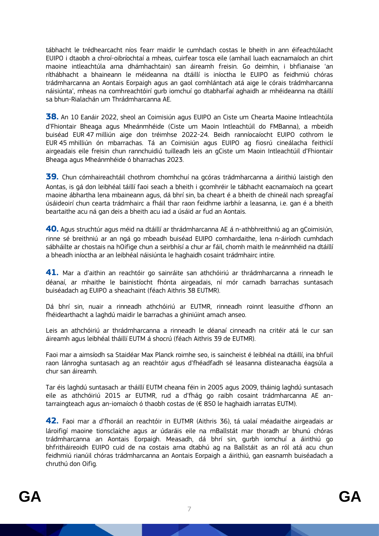tábhacht le trédhearcacht níos fearr maidir le cumhdach costas le bheith in ann éifeachtúlacht EUIPO i dtaobh a chroí-oibríochtaí a mheas, cuirfear tosca eile (amhail luach eacnamaíoch an chirt maoine intleachtúla arna dhámhachtain) san áireamh freisin. Go deimhin, i bhfianaise 'an ríthábhacht a bhaineann le méideanna na dtáillí is iníoctha le EUIPO as feidhmiú chóras trádmharcanna an Aontais Eorpaigh agus an gaol comhlántach atá aige le córais trádmharcanna náisiúnta', mheas na comhreachtóirí gurb iomchuí go dtabharfaí aghaidh ar mhéideanna na dtáillí sa bhun-Rialachán um Thrádmharcanna AE.

**38.** An 10 Eanáir 2022, sheol an Coimisiún agus EUIPO an Ciste um Chearta Maoine Intleachtúla d'Fhiontair Bheaga agus Mheánmhéide (Ciste um Maoin Intleachtúil do FMBanna), a mbeidh buiséad EUR 47 milliún aige don tréimhse 2022-24. Beidh ranníocaíocht EUIPO cothrom le EUR 45 mhilliún ón mbarrachas. Tá an Coimisiún agus EUIPO ag fiosrú cineálacha feithiclí airgeadais eile freisin chun rannchuidiú tuilleadh leis an gCiste um Maoin Intleachtúil d'Fhiontair Bheaga agus Mheánmhéide ó bharrachas 2023.

**39.** Chun cómhaireachtáil chothrom chomhchuí na gcóras trádmharcanna a áirithiú laistigh den Aontas, is gá don leibhéal táillí faoi seach a bheith i gcomhréir le tábhacht eacnamaíoch na gceart maoine ábhartha lena mbaineann agus, dá bhrí sin, ba cheart é a bheith de chineál nach spreagfaí úsáideoirí chun cearta trádmhairc a fháil thar raon feidhme iarbhír a leasanna, i.e. gan é a bheith beartaithe acu ná gan deis a bheith acu iad a úsáid ar fud an Aontais.

**40.** Agus struchtúr agus méid na dtáillí ar thrádmharcanna AE á n-athbhreithniú ag an gCoimisiún, rinne sé breithniú ar an ngá go mbeadh buiséad EUIPO comhardaithe, lena n-áiríodh cumhdach sábháilte ar chostais na hOifige chun a seirbhísí a chur ar fáil, chomh maith le meánmhéid na dtáillí a bheadh iníoctha ar an leibhéal náisiúnta le haghaidh cosaint trádmhairc intíre.

**41.** Mar a d'aithin an reachtóir go sainráite san athchóiriú ar thrádmharcanna a rinneadh le déanaí, ar mhaithe le bainistíocht fhónta airgeadais, ní mór carnadh barrachas suntasach buiséadach ag EUIPO a sheachaint (féach Aithris 38 EUTMR).

Dá bhrí sin, nuair a rinneadh athchóiriú ar EUTMR, rinneadh roinnt leasuithe d'fhonn an fhéidearthacht a laghdú maidir le barrachas a ghiniúint amach anseo.

Leis an athchóiriú ar thrádmharcanna a rinneadh le déanaí cinneadh na critéir atá le cur san áireamh agus leibhéal tháillí EUTM á shocrú (féach Aithris 39 de EUTMR).

Faoi mar a aimsíodh sa Staidéar Max Planck roimhe seo, is saincheist é leibhéal na dtáillí, ina bhfuil raon lánrogha suntasach ag an reachtóir agus d'fhéadfadh sé leasanna dlisteanacha éagsúla a chur san áireamh.

Tar éis laghdú suntasach ar tháillí EUTM cheana féin in 2005 agus 2009, tháinig laghdú suntasach eile as athchóiriú 2015 ar EUTMR, rud a d'fhág go raibh cosaint trádmharcanna AE antarraingteach agus an-iomaíoch ó thaobh costas de (€ 850 le haghaidh iarratas EUTM).

**42.** Faoi mar a d'fhoráil an reachtóir in EUTMR (Aithris 36), tá ualaí méadaithe airgeadais ar lároifigí maoine tionsclaíche agus ar údaráis eile na mBallstát mar thoradh ar bhunú chóras trádmharcanna an Aontais Eorpaigh. Measadh, dá bhrí sin, gurbh iomchuí a áirithiú go bhfritháireoidh EUIPO cuid de na costais arna dtabhú ag na Ballstáit as an ról atá acu chun feidhmiú rianúil chóras trádmharcanna an Aontais Eorpaigh a áirithiú, gan easnamh buiséadach a chruthú don Oifig.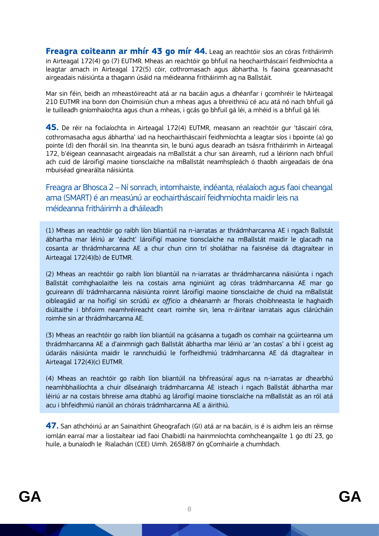**Freagra coiteann ar mhír 43 go mír 44.** Leag an reachtóir síos an córas fritháirimh in Airteagal 172(4) go (7) EUTMR. Mheas an reachtóir go bhfuil na heochairtháscairí feidhmíochta a leagtar amach in Airteagal 172(5) cóir, cothromasach agus ábhartha. Is faoina gceannasacht airgeadais náisiúnta a thagann úsáid na méideanna fritháirimh ag na Ballstáit.

Mar sin féin, beidh an mheastóireacht atá ar na bacáin agus a dhéanfar i gcomhréir le hAirteagal 210 EUTMR ina bonn don Choimisiún chun a mheas agus a bhreithniú cé acu atá nó nach bhfuil gá le tuilleadh gníomhaíochta agus chun a mheas, i gcás go bhfuil gá léi, a mhéid is a bhfuil gá léi.

**45.** De réir na foclaíochta in Airteagal 172(4) EUTMR, measann an reachtóir gur 'táscairí córa, cothromasacha agus ábhartha' iad na heochairtháscairí feidhmíochta a leagtar síos i bpointe (a) go pointe (d) den fhoráil sin. Ina theannta sin, le bunú agus dearadh an tsásra fritháirimh in Airteagal 172, b'éigean ceannasacht airgeadais na mBallstát a chur san áireamh, rud a léiríonn nach bhfuil ach cuid de lároifigí maoine tionsclaíche na mBallstát neamhspleách ó thaobh airgeadais de óna mbuiséad ginearálta náisiúnta.

Freagra ar Bhosca 2 –Ní sonrach, intomhaiste, indéanta, réalaíoch agus faoi cheangal ama (SMART) é an measúnú ar eochairtháscairí feidhmíochta maidir leis na méideanna fritháirimh a dháileadh

(1) Mheas an reachtóir go raibh líon bliantúil na n-iarratas ar thrádmharcanna AE i ngach Ballstát ábhartha mar léiriú ar 'éacht' lároifigí maoine tionsclaíche na mBallstát maidir le glacadh na cosanta ar thrádmharcanna AE a chur chun cinn trí sholáthar na faisnéise dá dtagraítear in Airteagal 172(4)(b) de EUTMR.

(2) Mheas an reachtóir go raibh líon bliantúil na n-iarratas ar thrádmharcanna náisiúnta i ngach Ballstát comhghaolaithe leis na costais arna nginiúint ag córas trádmharcanna AE mar go gcuireann dlí trádmharcanna náisiúnta roinnt lároifigí maoine tionsclaíche de chuid na mBallstát oibleagáid ar na hoifigí sin scrúdú *ex officio* a dhéanamh ar fhorais choibhneasta le haghaidh diúltaithe i bhfoirm neamhréireacht ceart roimhe sin, lena n-áirítear iarratais agus clárúcháin roimhe sin ar thrádmharcanna AE.

(3) Mheas an reachtóir go raibh líon bliantúil na gcásanna a tugadh os comhair na gcúirteanna um thrádmharcanna AE a d'ainmnigh gach Ballstát ábhartha mar léiriú ar 'an costas' a bhí i gceist ag údaráis náisiúnta maidir le rannchuidiú le forfheidhmiú trádmharcanna AE dá dtagraítear in Airteagal 172(4)(c) EUTMR.

(4) Mheas an reachtóir go raibh líon bliantúil na bhfreasúraí agus na n-iarratas ar dhearbhú neamhbhailíochta a chuir dílseánaigh trádmharcanna AE isteach i ngach Ballstát ábhartha mar léiriú ar na costais bhreise arna dtabhú ag lároifigí maoine tionsclaíche na mBallstát as an ról atá acu i bhfeidhmiú rianúil an chórais trádmharcanna AE a áirithiú.

**47.** San athchóiriú ar an Sainaithint Gheografach (GI) atá ar na bacáin, is é is aidhm leis an réimse iomlán earraí mar a liostaítear iad faoi Chaibidlí na hainmníochta comhcheangailte 1 go dtí 23, go huile, a bunaíodh le [Rialachán \(CEE\) Uimh. 2658/87 ón gComhairle a chumhdach.](https://eur-lex.europa.eu/legal-content/EN/TXT/?uri=CELEX:31987R2658)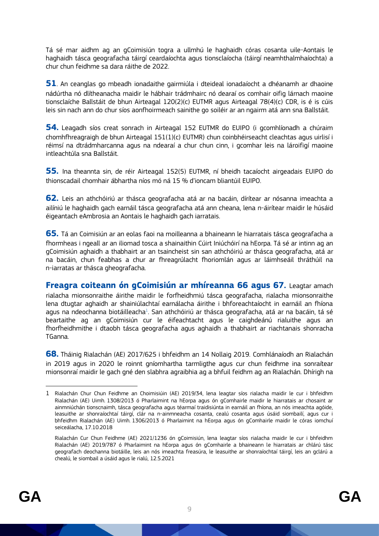Tá sé mar aidhm ag an gCoimisiún togra a ullmhú le haghaidh córas cosanta uile-Aontais le haghaidh tásca geografacha táirgí ceardaíochta agus tionsclaíocha (táirgí neamhthalmhaíochta) a chur chun feidhme sa dara ráithe de 2022.

**51**. An ceanglas go mbeadh ionadaithe gairmiúla i dteideal ionadaíocht a dhéanamh ar dhaoine nádúrtha nó dlítheanacha maidir le hábhair trádmhairc nó dearaí os comhair oifig lárnach maoine tionsclaíche Ballstáit de bhun Airteagal 120(2)(c) EUTMR agus Airteagal 78(4)(c) CDR, is é is cúis leis sin nach ann do chur síos aonfhoirmeach sainithe go soiléir ar an ngairm atá ann sna Ballstáit.

**54.** Leagadh síos creat sonrach in Airteagal 152 EUTMR do EUIPO (i gcomhlíonadh a chúraim chomhfhreagraigh de bhun Airteagal 151(1)(c) EUTMR) chun coinbhéirseacht cleachtas agus uirlisí i réimsí na dtrádmharcanna agus na ndearaí a chur chun cinn, i gcomhar leis na lároifigí maoine intleachtúla sna Ballstáit.

**55.** Ina theannta sin, de réir Airteagal 152(5) EUTMR, ní bheidh tacaíocht airgeadais EUIPO do thionscadail chomhair ábhartha níos mó ná 15 % d'ioncam bliantúil EUIPO.

**62.** Leis an athchóiriú ar thásca geografacha atá ar na bacáin, dírítear ar nósanna imeachta a ailíniú le haghaidh gach earnáil tásca geografacha atá ann cheana, lena n-áirítear maidir le húsáid éigeantach eAmbrosia an Aontais le haghaidh gach iarratais.

**65.** Tá an Coimisiún ar an eolas faoi na moilleanna a bhaineann le hiarratais tásca geografacha a fhormheas i ngeall ar an iliomad tosca a shainaithin Cúirt Iniúchóirí na hEorpa. Tá sé ar intinn ag an gCoimisiún aghaidh a thabhairt ar an tsaincheist sin san athchóiriú ar thásca geografacha, atá ar na bacáin, chun feabhas a chur ar fhreagrúlacht fhoriomlán agus ar láimhseáil thráthúil na n-iarratas ar thásca gheografacha.

**Freagra coiteann ón gCoimisiún ar mhíreanna 66 agus 67.** Leagtar amach rialacha mionsonraithe áirithe maidir le forfheidhmiú tásca geografacha, rialacha mionsonraithe lena dtugtar aghaidh ar shainiúlachtaí earnálacha áirithe i bhforeachtaíocht in earnáil an fhíona agus na ndeochanna biotáilleacha $^1$ . San athchóiriú ar thásca geografacha, atá ar na bacáin, tá sé beartaithe ag an gCoimisiún cur le éifeachtacht agus le caighdeánú rialuithe agus an fhorfheidhmithe i dtaobh tásca geografacha agus aghaidh a thabhairt ar riachtanais shonracha TGanna.

**68.** Tháinig Rialachán (AE) 2017/625 i bhfeidhm an 14 Nollaig 2019. Comhlánaíodh an Rialachán in 2019 agus in 2020 le roinnt gníomhartha tarmligthe agus cur chun feidhme ina sonraítear mionsonraí maidir le gach gné den slabhra agraibhia ag a bhfuil feidhm ag an Rialachán. Dhírigh na

-

<sup>1</sup> Rialachán Chur Chun Feidhme an Choimisiúin (AE) 2019/34, lena leagtar síos rialacha maidir le cur i bhfeidhm Rialachán (AE) Uimh. 1308/2013 ó Pharlaimint na hEorpa agus ón gComhairle maidir le hiarratais ar chosaint ar ainmniúchán tionscnaimh, tásca geografacha agus téarmaí traidisiúnta in earnáil an fhíona, an nós imeachta agóide, leasuithe ar shonraíochtaí táirgí, clár na n-ainmneacha cosanta, cealú cosanta agus úsáid siombailí, agus cur i bhfeidhm Rialachán (AE) Uimh. 1306/2013 ó Pharlaimint na hEorpa agus ón gComhairle maidir le córas iomchuí seiceálacha, 17.10.2018

Rialachán Cur Chun Feidhme (AE) 2021/1236 ón gCoimisiún, lena leagtar síos rialacha maidir le cur i bhfeidhm Rialachán (AE) 2019/787 ó Pharlaimint na hEorpa agus ón gComhairle a bhaineann le hiarratais ar chlárú tásc geografach deochanna biotáille, leis an nós imeachta freasúra, le leasuithe ar shonraíochtaí táirgí, leis an gclárú a chealú, le siombail a úsáid agus le rialú, 12.5.2021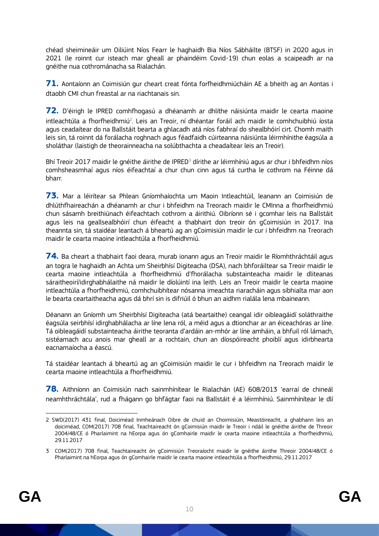chéad sheimineáir um Oiliúint Níos Fearr le haghaidh Bia Níos Sábháilte (BTSF) in 2020 agus in 2021 (le roinnt cur isteach mar gheall ar phaindéim Covid-19) chun eolas a scaipeadh ar na gnéithe nua cothrománacha sa Rialachán.

**71.** Aontaíonn an Coimisiún gur cheart creat fónta forfheidhmiúcháin AE a bheith ag an Aontas i dtaobh CMI chun freastal ar na riachtanais sin.

**72.** D'éirigh le IPRED comhfhogasú a dhéanamh ar dhlíthe náisiúnta maidir le cearta maoine intleachtúla a fhorfheidhmiú<sup>2</sup>. Leis an Treoir, ní dhéantar foráil ach maidir le comhchuibhiú íosta agus ceadaítear do na Ballstáit bearta a ghlacadh atá níos fabhraí do shealbhóirí cirt. Chomh maith leis sin, tá roinnt dá forálacha roghnach agus féadfaidh cúirteanna náisiúnta léirmhínithe éagsúla a sholáthar (laistigh de theorainneacha na solúbthachta a cheadaítear leis an Treoir).

Bhí [Treoir 2017 maidir le gnéithe áirithe de IPRED](https://ec.europa.eu/docsroom/documents/26582)<sup>3</sup> dírithe ar léirmhíniú agus ar chur i bhfeidhm níos comhsheasmhaí agus níos éifeachtaí a chur chun cinn agus tá curtha le cothrom na Féinne dá bharr.

**73.** Mar a léirítear sa Phlean Gníomhaíochta um Maoin Intleachtúil, leanann an Coimisiún de dhlúthfhaireachán a dhéanamh ar chur i bhfeidhm na Treorach maidir le CMInna a fhorfheidhmiú chun sásamh breithiúnach éifeachtach cothrom a áirithiú. Oibríonn sé i gcomhar leis na Ballstáit agus leis na geallsealbhóirí chun éifeacht a thabhairt don treoir ón gCoimisiún in 2017. Ina theannta sin, tá staidéar leantach á bheartú ag an gCoimisiún maidir le cur i bhfeidhm na Treorach maidir le cearta maoine intleachtúla a fhorfheidhmiú.

**74.** Ba cheart a thabhairt faoi deara, murab ionann agus an Treoir maidir le Ríomhthráchtáil agus an togra le haghaidh an Achta um Sheirbhísí Digiteacha (DSA), nach bhforáiltear sa Treoir maidir le cearta maoine intleachtúla a fhorfheidhmiú d'fhorálacha substainteacha maidir le dliteanas sáraitheoirí/idirghabhálaithe ná maidir le díolúintí ina leith. Leis an Treoir maidir le cearta maoine intleachtúla a fhorfheidhmiú, comhchuibhítear nósanna imeachta riaracháin agus sibhialta mar aon le bearta ceartaitheacha agus dá bhrí sin is difriúil ó bhun an aidhm rialála lena mbaineann.

Déanann an Gníomh um Sheirbhísí Digiteacha (atá beartaithe) ceangal idir oibleagáidí soláthraithe éagsúla seirbhísí idirghabhálacha ar líne lena ról, a méid agus a dtionchar ar an éiceachóras ar líne. Tá oibleagáidí substainteacha áirithe teoranta d'ardáin an-mhór ar líne amháin, a bhfuil ról lárnach, sistéamach acu anois mar gheall ar a rochtain, chun an díospóireacht phoiblí agus idirbhearta eacnamaíocha a éascú.

Tá staidéar leantach á bheartú ag an gCoimisiún maidir le cur i bhfeidhm na Treorach maidir le cearta maoine intleachtúla a fhorfheidhmiú.

**78.** Aithníonn an Coimisiún nach sainmhínítear le Rialachán (AE) 608/2013 'earraí de chineál neamhthráchtála', rud a fhágann go bhfágtar faoi na Ballstáit é a léirmhíniú. Sainmhínítear le dlí

<sup>1</sup> 2 SWD(2017) 431 final, Doiciméad Inmheánach Oibre de chuid an Choimisiúin, Meastóireacht, a ghabhann leis an doiciméad, COM(2017) 708 final, Teachtaireacht ón gCoimisiún maidir le Treoir i ndáil le gnéithe áirithe de Threoir 2004/48/CE ó Pharlaimint na hEorpa agus ón gComhairle maidir le cearta maoine intleachtúla a fhorfheidhmiú, 29.11.2017

<sup>3</sup> COM(2017) 708 final, Teachtaireacht ón gCoimisiún: Treoraíocht maidir le gnéithe áirithe Threoir 2004/48/CE ó Pharlaimint na hEorpa agus ón gComhairle maidir le cearta maoine intleachtúla a fhorfheidhmiú, 29.11.2017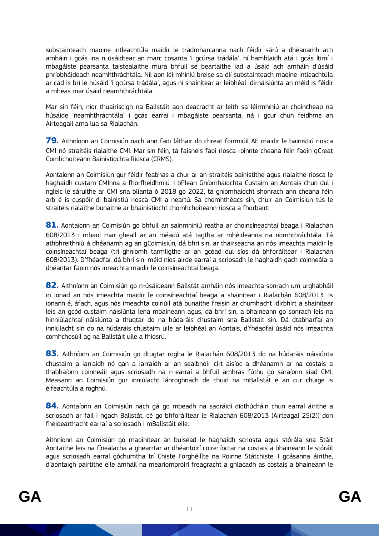substainteach maoine intleachtúla maidir le trádmharcanna nach féidir sárú a dhéanamh ach amháin i gcás ina n-úsáidtear an marc cosanta 'i gcúrsa trádála', ní hamhlaidh atá i gcás ítimí i mbagáiste pearsanta taistealaithe mura bhfuil sé beartaithe iad a úsáid ach amháin d'úsáid phríobháideach neamhthráchtála. Níl aon léirmhíniú breise sa dlí substainteach maoine intleachtúla ar cad is brí le húsáid 'i gcúrsa trádála', agus ní shainítear ar leibhéal idirnáisiúnta an méid is féidir a mheas mar úsáid neamhthráchtála.

Mar sin féin, níor thuairiscigh na Ballstáit aon deacracht ar leith sa léirmhíniú ar choincheap na húsáide 'neamhthráchtála' i gcás earraí i mbagáiste pearsanta, ná i gcur chun feidhme an Airteagail arna lua sa Rialachán.

**79.** Aithníonn an Coimisiún nach ann faoi láthair do chreat foirmiúil AE maidir le bainistiú riosca CMI nó straitéis rialaithe CMI. Mar sin féin, tá faisnéis faoi riosca roinnte cheana féin faoin gCreat Comhchoiteann Bainistíochta Riosca (CRMS).

Aontaíonn an Coimisiún gur féidir feabhas a chur ar an straitéis bainistithe agus rialaithe riosca le haghaidh custam CMInna a fhorfheidhmiú. I bPlean Gníomhaíochta Custaim an Aontais chun dul i ngleic le sáruithe ar CMI sna blianta ó 2018 go 2022, tá gníomhaíocht shonrach ann cheana féin arb é is cuspóir di bainistiú riosca CMI a neartú. Sa chomhthéacs sin, chuir an Coimisiún tús le straitéis rialaithe bunaithe ar bhainistíocht chomhchoiteann riosca a fhorbairt.

**81.** Aontaíonn an Coimisiún go bhfuil an sainmhíniú reatha ar choinsíneachtaí beaga i Rialachán 608/2013 i mbaol mar gheall ar an méadú atá tagtha ar mhéideanna na ríomhthráchtála. Tá athbhreithniú á dhéanamh ag an gCoimisiún, dá bhrí sin, ar thairseacha an nós imeachta maidir le coinsíneachtaí beaga (trí ghníomh tarmligthe ar an gcéad dul síos dá bhforáiltear i Rialachán 608/2013). D'fhéadfaí, dá bhrí sin, méid níos airde earraí a scriosadh le haghaidh gach coinneála a dhéantar faoin nós imeachta maidir le coinsíneachtaí beaga.

**82.** Aithníonn an Coimisiún go n-úsáideann Ballstát amháin nós imeachta sonrach um urghabháil in ionad an nós imeachta maidir le coinsíneachtaí beaga a shainítear i Rialachán 608/2013. Is ionann é, áfach, agus nós imeachta coiriúil atá bunaithe freisin ar chumhacht idirbhirt a shainítear leis an gcód custaim náisiúnta lena mbaineann agus, dá bhrí sin, a bhaineann go sonrach leis na hinniúlachtaí náisiúnta a thugtar do na húdaráis chustaim sna Ballstáit sin. Dá dtabharfaí an inniúlacht sin do na húdaráis chustaim uile ar leibhéal an Aontais, d'fhéadfaí úsáid nós imeachta comhchosúil ag na Ballstáit uile a fhiosrú.

**83.** Aithníonn an Coimisiún go dtugtar rogha le Rialachán 608/2013 do na húdaráis náisiúnta chustaim a iarraidh nó gan a iarraidh ar an sealbhóir cirt aisíoc a dhéanamh ar na costais a thabhaíonn coinneáil agus scriosadh na n-earraí a bhfuil amhras fúthu go sáraíonn siad CMI. Measann an Coimisiún gur inniúlacht lánroghnach de chuid na mBallstát é an cur chuige is éifeachtúla a roghnú.

**84.** Aontaíonn an Coimisiún nach gá go mbeadh na saoráidí díothúcháin chun earraí áirithe a scriosadh ar fáil i ngach Ballstát, cé go bhforáiltear le Rialachán 608/2013 (Airteagal 25(2)) don fhéidearthacht earraí a scriosadh i mBallstáit eile.

Aithníonn an Coimisiún go maoinítear an buiséad le haghaidh scriosta agus stórála sna Stáit Aontaithe leis na fíneálacha a ghearrtar ar dhéantóirí coire: íoctar na costais a bhaineann le stóráil agus scriosadh earraí góchumtha trí Chiste Forghéillte na Roinne Státchiste. I gcásanna áirithe, d'aontaigh páirtithe eile amhail na meariompróirí freagracht a ghlacadh as costais a bhaineann le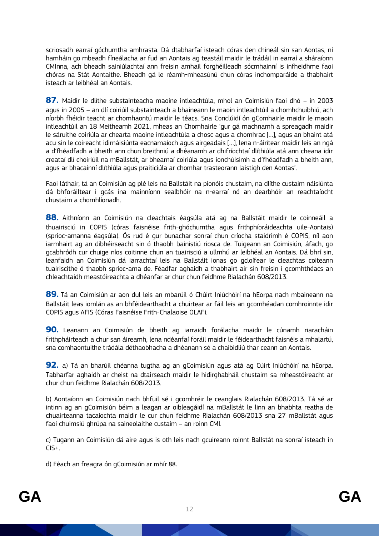scriosadh earraí góchumtha amhrasta. Dá dtabharfaí isteach córas den chineál sin san Aontas, ní hamháin go mbeadh fíneálacha ar fud an Aontais ag teastáil maidir le trádáil in earraí a sháraíonn CMInna, ach bheadh sainiúlachtaí ann freisin amhail forghéilleadh sócmhainní is infheidhme faoi chóras na Stát Aontaithe. Bheadh gá le réamh-mheasúnú chun córas inchomparáide a thabhairt isteach ar leibhéal an Aontais.

**87.** Maidir le dlíthe substainteacha maoine intleachtúla, mhol an Coimisiún faoi dhó – in 2003 agus in 2005 – an dlí coiriúil substainteach a bhaineann le maoin intleachtúil a chomhchuibhiú, ach níorbh fhéidir teacht ar chomhaontú maidir le téacs. Sna Conclúidí ón gComhairle maidir le maoin intleachtúil an 18 Meitheamh 2021, mheas an Chomhairle 'gur gá machnamh a spreagadh maidir le sáruithe coiriúla ar chearta maoine intleachtúla a chosc agus a chomhrac […], agus an bhaint atá acu sin le coireacht idirnáisiúnta eacnamaíoch agus airgeadais […], lena n-áirítear maidir leis an ngá a d'fhéadfadh a bheith ann chun breithniú a dhéanamh ar dhifríochtaí dlíthiúla atá ann cheana idir creataí dlí choiriúil na mBallstát, ar bhearnaí coiriúla agus ionchúisimh a d'fhéadfadh a bheith ann, agus ar bhacainní dlíthiúla agus praiticiúla ar chomhar trasteorann laistigh den Aontas'.

Faoi láthair, tá an Coimisiún ag plé leis na Ballstáit na pionóis chustaim, na dlíthe custaim náisiúnta dá bhforáiltear i gcás ina mainníonn sealbhóir na n-earraí nó an dearbhóir an reachtaíocht chustaim a chomhlíonadh.

**88.** Aithníonn an Coimisiún na cleachtais éagsúla atá ag na Ballstáit maidir le coinneáil a thuairisciú in COPIS (córas faisnéise frith-ghóchumtha agus frithphíoráideachta uile-Aontais) (sprioc-amanna éagsúla). Ós rud é gur bunachar sonraí chun críocha staidrimh é COPIS, níl aon iarmhairt ag an dibhéirseacht sin ó thaobh bainistiú riosca de. Tuigeann an Coimisiún, áfach, go gcabhródh cur chuige níos coitinne chun an tuairisciú a ullmhú ar leibhéal an Aontais. Dá bhrí sin, leanfaidh an Coimisiún dá iarrachtaí leis na Ballstáit ionas go gcloífear le cleachtas coiteann tuairiscithe ó thaobh sprioc-ama de. Féadfar aghaidh a thabhairt air sin freisin i gcomhthéacs an chleachtaidh meastóireachta a dhéanfar ar chur chun feidhme Rialachán 608/2013.

**89.** Tá an Coimisiún ar aon dul leis an mbarúil ó Chúirt Iniúchóirí na hEorpa nach mbaineann na Ballstáit leas iomlán as an bhféidearthacht a chuirtear ar fáil leis an gcomhéadan comhroinnte idir COPIS agus AFIS (Córas Faisnéise Frith-Chalaoise OLAF).

**90.** Leanann an Coimisiún de bheith ag iarraidh forálacha maidir le cúnamh riaracháin frithpháirteach a chur san áireamh, lena ndéanfaí foráil maidir le féidearthacht faisnéis a mhalartú, sna comhaontuithe trádála déthaobhacha a dhéanann sé a chaibidliú thar ceann an Aontais.

**92.** a) Tá an bharúil chéanna tugtha ag an gCoimisiún agus atá ag Cúirt Iniúchóirí na hEorpa. Tabharfar aghaidh ar cheist na dtairseach maidir le hidirghabháil chustaim sa mheastóireacht ar chur chun feidhme Rialachán 608/2013.

b) Aontaíonn an Coimisiún nach bhfuil sé i gcomhréir le ceanglais Rialachán 608/2013. Tá sé ar intinn ag an gCoimisiún béim a leagan ar oibleagáidí na mBallstát le linn an bhabhta reatha de chuairteanna tacaíochta maidir le cur chun feidhme Rialachán 608/2013 sna 27 mBallstát agus faoi chuimsiú ghrúpa na saineolaithe custaim – an roinn CMI.

c) Tugann an Coimisiún dá aire agus is oth leis nach gcuireann roinnt Ballstát na sonraí isteach in CIS+.

d) Féach an freagra ón gCoimisiún ar mhír 88.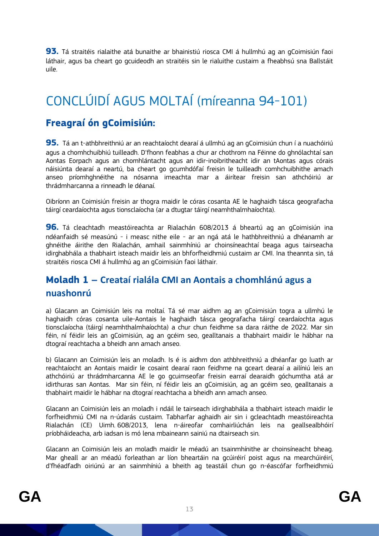**93.** Tá straitéis rialaithe atá bunaithe ar bhainistiú riosca CMI á hullmhú ag an gCoimisiún faoi láthair, agus ba cheart go gcuideodh an straitéis sin le rialuithe custaim a fheabhsú sna Ballstáit uile.

### <span id="page-13-0"></span>CONCLÚIDÍ AGUS MOLTAÍ (míreanna 94-101)

#### **Freagraí ón gCoimisiún:**

**95.** Tá an t-athbhreithniú ar an reachtaíocht dearaí á ullmhú ag an gCoimisiún chun í a nuachóiriú agus a chomhchuibhiú tuilleadh. D'fhonn feabhas a chur ar chothrom na Féinne do ghnólachtaí san Aontas Eorpach agus an chomhlántacht agus an idir-inoibritheacht idir an tAontas agus córais náisiúnta dearaí a neartú, ba cheart go gcumhdófaí freisin le tuilleadh comhchuibhithe amach anseo príomhghnéithe na nósanna imeachta mar a áirítear freisin san athchóiriú ar thrádmharcanna a rinneadh le déanaí.

Oibríonn an Coimisiún freisin ar thogra maidir le córas cosanta AE le haghaidh tásca geografacha táirgí ceardaíochta agus tionsclaíocha (ar a dtugtar táirgí neamhthalmhaíochta).

**96.** Tá cleachtadh meastóireachta ar Rialachán 608/2013 á bheartú ag an gCoimisiún ina ndéanfaidh sé measúnú - i measc nithe eile - ar an ngá atá le hathbhreithniú a dhéanamh ar ghnéithe áirithe den Rialachán, amhail sainmhíniú ar choinsíneachtaí beaga agus tairseacha idirghabhála a thabhairt isteach maidir leis an bhforfheidhmiú custaim ar CMI. Ina theannta sin, tá straitéis riosca CMI á hullmhú ag an gCoimisiún faoi láthair.

#### <span id="page-13-1"></span>**Moladh 1 – Creataí rialála CMI an Aontais a chomhlánú agus a nuashonrú**

a) Glacann an Coimisiún leis na moltaí. Tá sé mar aidhm ag an gCoimisiún togra a ullmhú le haghaidh córas cosanta uile-Aontais le haghaidh tásca geografacha táirgí ceardaíochta agus tionsclaíocha (táirgí neamhthalmhaíochta) a chur chun feidhme sa dara ráithe de 2022. Mar sin féin, ní féidir leis an gCoimisiún, ag an gcéim seo, gealltanais a thabhairt maidir le hábhar na dtograí reachtacha a bheidh ann amach anseo.

b) Glacann an Coimisiún leis an moladh. Is é is aidhm don athbhreithniú a dhéanfar go luath ar reachtaíocht an Aontais maidir le cosaint dearaí raon feidhme na gceart dearaí a ailíniú leis an athchóiriú ar thrádmharcanna AE le go gcuimseofar freisin earraí dearaidh góchumtha atá ar idirthuras san Aontas. Mar sin féin, ní féidir leis an gCoimisiún, ag an gcéim seo, gealltanais a thabhairt maidir le hábhar na dtograí reachtacha a bheidh ann amach anseo.

Glacann an Coimisiún leis an moladh i ndáil le tairseach idirghabhála a thabhairt isteach maidir le forfheidhmiú CMI na n-údarás custaim. Tabharfar aghaidh air sin i gcleachtadh meastóireachta Rialachán (CE) Uimh. 608/2013, lena n-áireofar comhairliúchán leis na geallsealbhóirí príobháideacha, arb iadsan is mó lena mbaineann sainiú na dtairseach sin.

Glacann an Coimisiún leis an moladh maidir le méadú an tsainmhínithe ar choinsíneacht bheag. Mar gheall ar an méadú forleathan ar líon bheartáin na gcúiréirí poist agus na mearchúiréirí, d'fhéadfadh oiriúnú ar an sainmhíniú a bheith ag teastáil chun go n-éascófar forfheidhmiú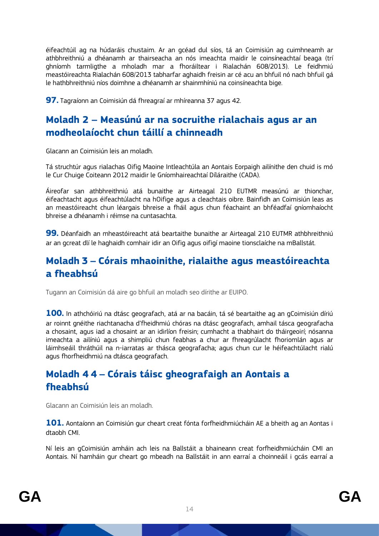éifeachtúil ag na húdaráis chustaim. Ar an gcéad dul síos, tá an Coimisiún ag cuimhneamh ar athbhreithniú a dhéanamh ar thairseacha an nós imeachta maidir le coinsíneachtaí beaga (trí ghníomh tarmligthe a mholadh mar a fhoráiltear i Rialachán 608/2013). Le feidhmiú meastóireachta Rialachán 608/2013 tabharfar aghaidh freisin ar cé acu an bhfuil nó nach bhfuil gá le hathbhreithniú níos doimhne a dhéanamh ar shainmhíniú na coinsíneachta bige.

**97.** Tagraíonn an Coimisiún dá fhreagraí ar mhíreanna 37 agus 42.

#### <span id="page-14-0"></span>**Moladh 2 – Measúnú ar na socruithe rialachais agus ar an modheolaíocht chun táillí a chinneadh**

Glacann an Coimisiún leis an moladh.

Tá struchtúr agus rialachas Oifig Maoine Intleachtúla an Aontais Eorpaigh ailínithe den chuid is mó le Cur Chuige Coiteann 2012 maidir le Gníomhaireachtaí Díláraithe (CADA).

Áireofar san athbhreithniú atá bunaithe ar Airteagal 210 EUTMR measúnú ar thionchar, éifeachtacht agus éifeachtúlacht na hOifige agus a cleachtais oibre. Bainfidh an Coimisiún leas as an meastóireacht chun léargais bhreise a fháil agus chun féachaint an bhféadfaí gníomhaíocht bhreise a dhéanamh i réimse na cuntasachta.

**99.** Déanfaidh an mheastóireacht atá beartaithe bunaithe ar Airteagal 210 EUTMR athbhreithniú ar an gcreat dlí le haghaidh comhair idir an Oifig agus oifigí maoine tionsclaíche na mBallstát.

#### <span id="page-14-1"></span>**Moladh 3 – Córais mhaoinithe, rialaithe agus meastóireachta a fheabhsú**

Tugann an Coimisiún dá aire go bhfuil an moladh seo dírithe ar EUIPO.

**100.** In athchóiriú na dtásc geografach, atá ar na bacáin, tá sé beartaithe ag an gCoimisiún díriú ar roinnt gnéithe riachtanacha d'fheidhmiú chóras na dtásc geografach, amhail tásca geografacha a chosaint, agus iad a chosaint ar an idirlíon freisin; cumhacht a thabhairt do tháirgeoirí; nósanna imeachta a ailíniú agus a shimpliú chun feabhas a chur ar fhreagrúlacht fhoriomlán agus ar láimhseáil thráthúil na n-iarratas ar thásca geografacha; agus chun cur le héifeachtúlacht rialú agus fhorfheidhmiú na dtásca geografach.

#### <span id="page-14-2"></span>**Moladh 4 4 – Córais táisc gheografaigh an Aontais a fheabhsú**

Glacann an Coimisiún leis an moladh.

**101.** Aontaíonn an Coimisiún gur cheart creat fónta forfheidhmiúcháin AE a bheith ag an Aontas i dtaobh CMI.

Ní leis an gCoimisiún amháin ach leis na Ballstáit a bhaineann creat forfheidhmiúcháin CMI an Aontais. Ní hamháin gur cheart go mbeadh na Ballstáit in ann earraí a choinneáil i gcás earraí a